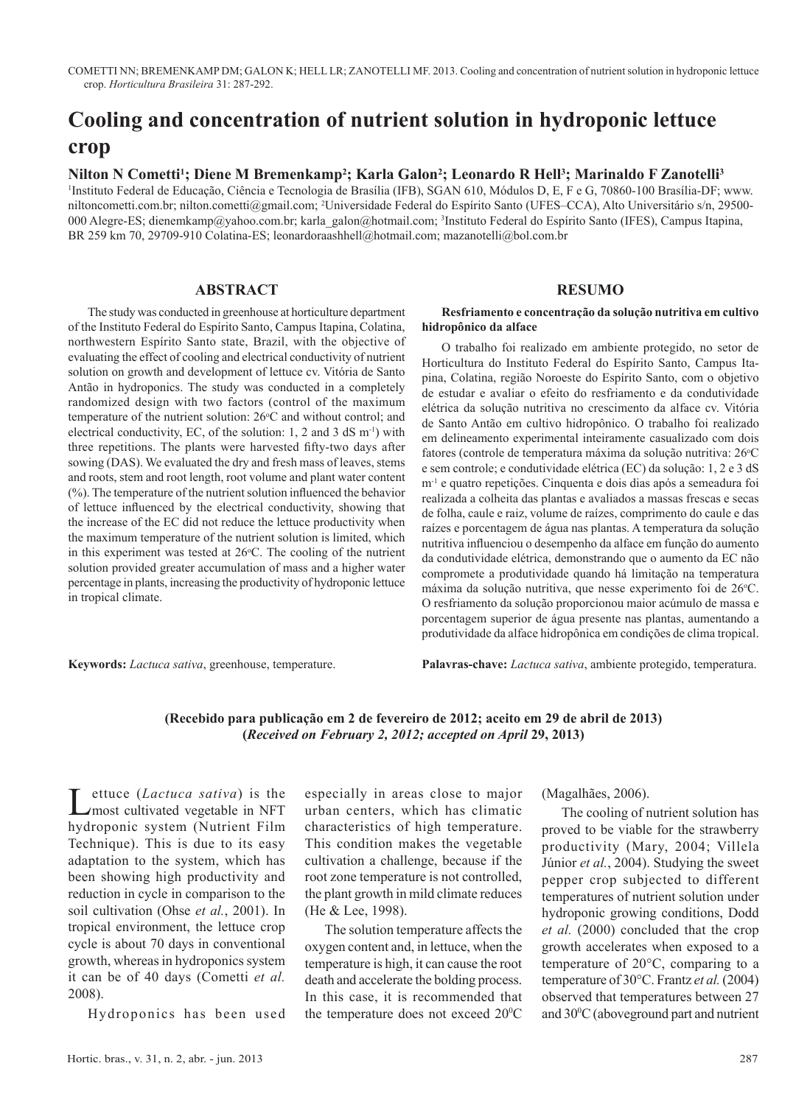# **Cooling and concentration of nutrient solution in hydroponic lettuce crop**

## **Nilton N Cometti1 ; Diene M Bremenkamp2 ; Karla Galon2 ; Leonardo R Hell3 ; Marinaldo F Zanotelli3**

1 Instituto Federal de Educação, Ciência e Tecnologia de Brasília (IFB), SGAN 610, Módulos D, E, F e G, 70860-100 Brasília-DF; www. niltoncometti.com.br; nilton.cometti@gmail.com; 2 Universidade Federal do Espírito Santo (UFES–CCA), Alto Universitário s/n, 29500- 000 Alegre-ES; dienemkamp@yahoo.com.br; karla\_galon@hotmail.com; 3 Instituto Federal do Espírito Santo (IFES), Campus Itapina, BR 259 km 70, 29709-910 Colatina-ES; leonardoraashhell@hotmail.com; mazanotelli@bol.com.br

#### **ABSTRACT**

The study was conducted in greenhouse at horticulture department of the Instituto Federal do Espírito Santo, Campus Itapina, Colatina, northwestern Espírito Santo state, Brazil, with the objective of evaluating the effect of cooling and electrical conductivity of nutrient solution on growth and development of lettuce cv. Vitória de Santo Antão in hydroponics. The study was conducted in a completely randomized design with two factors (control of the maximum temperature of the nutrient solution:  $26^{\circ}$ C and without control; and electrical conductivity, EC, of the solution:  $1, 2$  and  $3$  dS m<sup>-1</sup>) with three repetitions. The plants were harvested fifty-two days after sowing (DAS). We evaluated the dry and fresh mass of leaves, stems and roots, stem and root length, root volume and plant water content (%). The temperature of the nutrient solution influenced the behavior of lettuce influenced by the electrical conductivity, showing that the increase of the EC did not reduce the lettuce productivity when the maximum temperature of the nutrient solution is limited, which in this experiment was tested at  $26^{\circ}$ C. The cooling of the nutrient solution provided greater accumulation of mass and a higher water percentage in plants, increasing the productivity of hydroponic lettuce in tropical climate.

**Keywords:** *Lactuca sativa*, greenhouse, temperature.

#### **RESUMO**

#### **Resfriamento e concentração da solução nutritiva em cultivo hidropônico da alface**

O trabalho foi realizado em ambiente protegido, no setor de Horticultura do Instituto Federal do Espírito Santo, Campus Itapina, Colatina, região Noroeste do Espírito Santo, com o objetivo de estudar e avaliar o efeito do resfriamento e da condutividade elétrica da solução nutritiva no crescimento da alface cv. Vitória de Santo Antão em cultivo hidropônico. O trabalho foi realizado em delineamento experimental inteiramente casualizado com dois fatores (controle de temperatura máxima da solução nutritiva: 26°C e sem controle; e condutividade elétrica (EC) da solução: 1, 2 e 3 dS m-1 e quatro repetições. Cinquenta e dois dias após a semeadura foi realizada a colheita das plantas e avaliados a massas frescas e secas de folha, caule e raiz, volume de raízes, comprimento do caule e das raízes e porcentagem de água nas plantas. A temperatura da solução nutritiva influenciou o desempenho da alface em função do aumento da condutividade elétrica, demonstrando que o aumento da EC não compromete a produtividade quando há limitação na temperatura máxima da solução nutritiva, que nesse experimento foi de 26°C. O resfriamento da solução proporcionou maior acúmulo de massa e porcentagem superior de água presente nas plantas, aumentando a produtividade da alface hidropônica em condições de clima tropical.

**Palavras-chave:** *Lactuca sativa*, ambiente protegido, temperatura.

## **(Recebido para publicação em 2 de fevereiro de 2012; aceito em 29 de abril de 2013) (***Received on February 2, 2012; accepted on April* **29, 2013)**

**Lettuce** (*Lactuca sativa*) is the most cultivated vegetable in NFT hydroponic system (Nutrient Film Technique). This is due to its easy adaptation to the system, which has been showing high productivity and reduction in cycle in comparison to the soil cultivation (Ohse *et al.*, 2001). In tropical environment, the lettuce crop cycle is about 70 days in conventional growth, whereas in hydroponics system it can be of 40 days (Cometti *et al.*  2008).

Hydroponics has been used

especially in areas close to major urban centers, which has climatic characteristics of high temperature. This condition makes the vegetable cultivation a challenge, because if the root zone temperature is not controlled, the plant growth in mild climate reduces (He & Lee, 1998).

The solution temperature affects the oxygen content and, in lettuce, when the temperature is high, it can cause the root death and accelerate the bolding process. In this case, it is recommended that the temperature does not exceed 20°C (Magalhães, 2006).

The cooling of nutrient solution has proved to be viable for the strawberry productivity (Mary, 2004; Villela Júnior *et al.*, 2004). Studying the sweet pepper crop subjected to different temperatures of nutrient solution under hydroponic growing conditions, Dodd *et al.* (2000) concluded that the crop growth accelerates when exposed to a temperature of 20°C, comparing to a temperature of 30°C. Frantz *et al.* (2004) observed that temperatures between 27 and 300 C (aboveground part and nutrient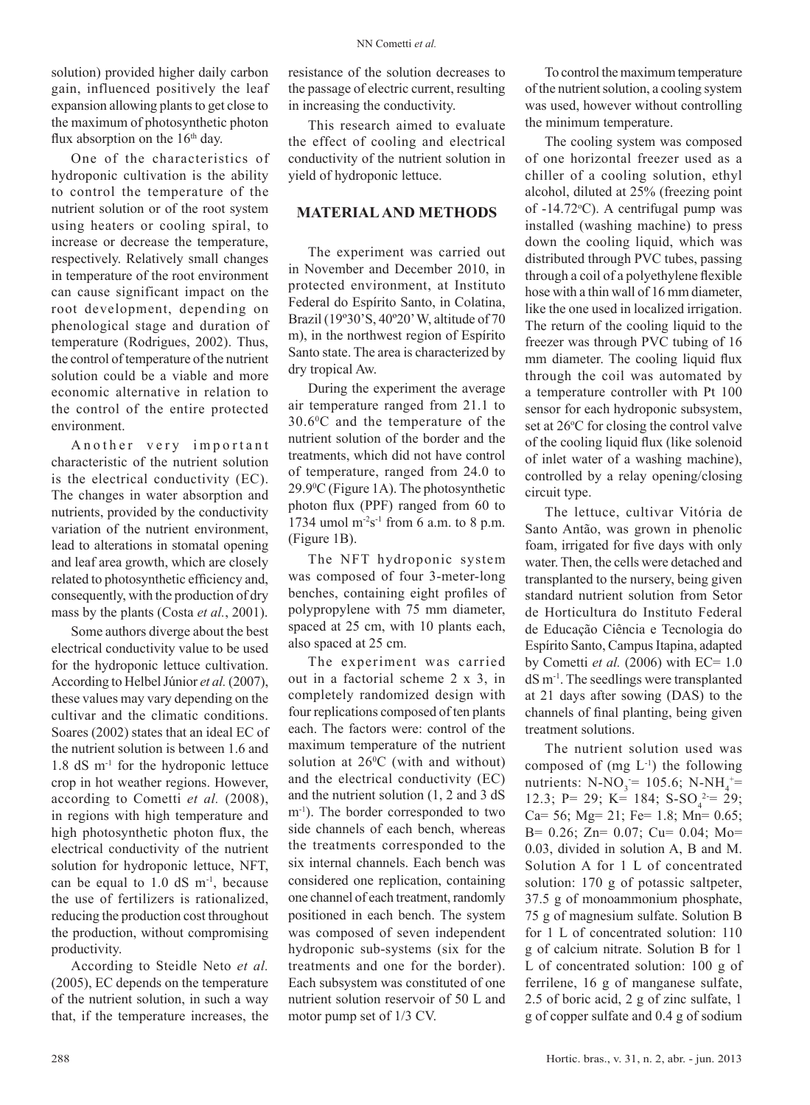solution) provided higher daily carbon gain, influenced positively the leaf expansion allowing plants to get close to the maximum of photosynthetic photon flux absorption on the  $16<sup>th</sup>$  day.

One of the characteristics of hydroponic cultivation is the ability to control the temperature of the nutrient solution or of the root system using heaters or cooling spiral, to increase or decrease the temperature, respectively. Relatively small changes in temperature of the root environment can cause significant impact on the root development, depending on phenological stage and duration of temperature (Rodrigues, 2002). Thus, the control of temperature of the nutrient solution could be a viable and more economic alternative in relation to the control of the entire protected environment.

Another very important characteristic of the nutrient solution is the electrical conductivity (EC). The changes in water absorption and nutrients, provided by the conductivity variation of the nutrient environment, lead to alterations in stomatal opening and leaf area growth, which are closely related to photosynthetic efficiency and, consequently, with the production of dry mass by the plants (Costa *et al.*, 2001).

Some authors diverge about the best electrical conductivity value to be used for the hydroponic lettuce cultivation. According to Helbel Júnior *et al.* (2007), these values may vary depending on the cultivar and the climatic conditions. Soares (2002) states that an ideal EC of the nutrient solution is between 1.6 and 1.8 dS m-1 for the hydroponic lettuce crop in hot weather regions. However, according to Cometti *et al.* (2008), in regions with high temperature and high photosynthetic photon flux, the electrical conductivity of the nutrient solution for hydroponic lettuce, NFT, can be equal to  $1.0$  dS  $m^{-1}$ , because the use of fertilizers is rationalized, reducing the production cost throughout the production, without compromising productivity.

According to Steidle Neto *et al.* (2005), EC depends on the temperature of the nutrient solution, in such a way that, if the temperature increases, the resistance of the solution decreases to the passage of electric current, resulting in increasing the conductivity.

This research aimed to evaluate the effect of cooling and electrical conductivity of the nutrient solution in yield of hydroponic lettuce.

#### **MATERIAL AND METHODS**

The experiment was carried out in November and December 2010, in protected environment, at Instituto Federal do Espírito Santo, in Colatina, Brazil (19º30'S, 40º20' W, altitude of 70 m), in the northwest region of Espírito Santo state. The area is characterized by dry tropical Aw.

During the experiment the average air temperature ranged from 21.1 to 30.60 C and the temperature of the nutrient solution of the border and the treatments, which did not have control of temperature, ranged from 24.0 to 29.90 C (Figure 1A). The photosynthetic photon flux (PPF) ranged from 60 to 1734 umol  $m^2s^{-1}$  from 6 a.m. to 8 p.m. (Figure 1B).

The NFT hydroponic system was composed of four 3-meter-long benches, containing eight profiles of polypropylene with 75 mm diameter, spaced at 25 cm, with 10 plants each, also spaced at 25 cm.

The experiment was carried out in a factorial scheme 2 x 3, in completely randomized design with four replications composed of ten plants each. The factors were: control of the maximum temperature of the nutrient solution at  $26^{\circ}$ C (with and without) and the electrical conductivity (EC) and the nutrient solution (1, 2 and 3 dS m-1). The border corresponded to two side channels of each bench, whereas the treatments corresponded to the six internal channels. Each bench was considered one replication, containing one channel of each treatment, randomly positioned in each bench. The system was composed of seven independent hydroponic sub-systems (six for the treatments and one for the border). Each subsystem was constituted of one nutrient solution reservoir of 50 L and motor pump set of 1/3 CV.

To control the maximum temperature of the nutrient solution, a cooling system was used, however without controlling the minimum temperature.

The cooling system was composed of one horizontal freezer used as a chiller of a cooling solution, ethyl alcohol, diluted at 25% (freezing point of  $-14.72$ °C). A centrifugal pump was installed (washing machine) to press down the cooling liquid, which was distributed through PVC tubes, passing through a coil of a polyethylene flexible hose with a thin wall of 16 mm diameter, like the one used in localized irrigation. The return of the cooling liquid to the freezer was through PVC tubing of 16 mm diameter. The cooling liquid flux through the coil was automated by a temperature controller with Pt 100 sensor for each hydroponic subsystem, set at 26°C for closing the control valve of the cooling liquid flux (like solenoid of inlet water of a washing machine), controlled by a relay opening/closing circuit type.

The lettuce, cultivar Vitória de Santo Antão, was grown in phenolic foam, irrigated for five days with only water. Then, the cells were detached and transplanted to the nursery, being given standard nutrient solution from Setor de Horticultura do Instituto Federal de Educação Ciência e Tecnologia do Espírito Santo, Campus Itapina, adapted by Cometti *et al.* (2006) with EC= 1.0 dS m-1. The seedlings were transplanted at 21 days after sowing (DAS) to the channels of final planting, being given treatment solutions.

The nutrient solution used was composed of  $(mg L^{-1})$  the following nutrients:  $N-NO_3 = 105.6$ ;  $N-NH_4^+ =$ 12.3; P= 29; K= 184; S-SO<sub>4</sub><sup>2</sup>= 29; Ca= 56; Mg= 21; Fe= 1.8; Mn= 0.65; B= 0.26; Zn= 0.07; Cu= 0.04; Mo= 0.03, divided in solution A, B and M. Solution A for 1 L of concentrated solution: 170 g of potassic saltpeter, 37.5 g of monoammonium phosphate, 75 g of magnesium sulfate. Solution B for 1 L of concentrated solution: 110 g of calcium nitrate. Solution B for 1 L of concentrated solution: 100 g of ferrilene, 16 g of manganese sulfate, 2.5 of boric acid, 2 g of zinc sulfate, 1 g of copper sulfate and 0.4 g of sodium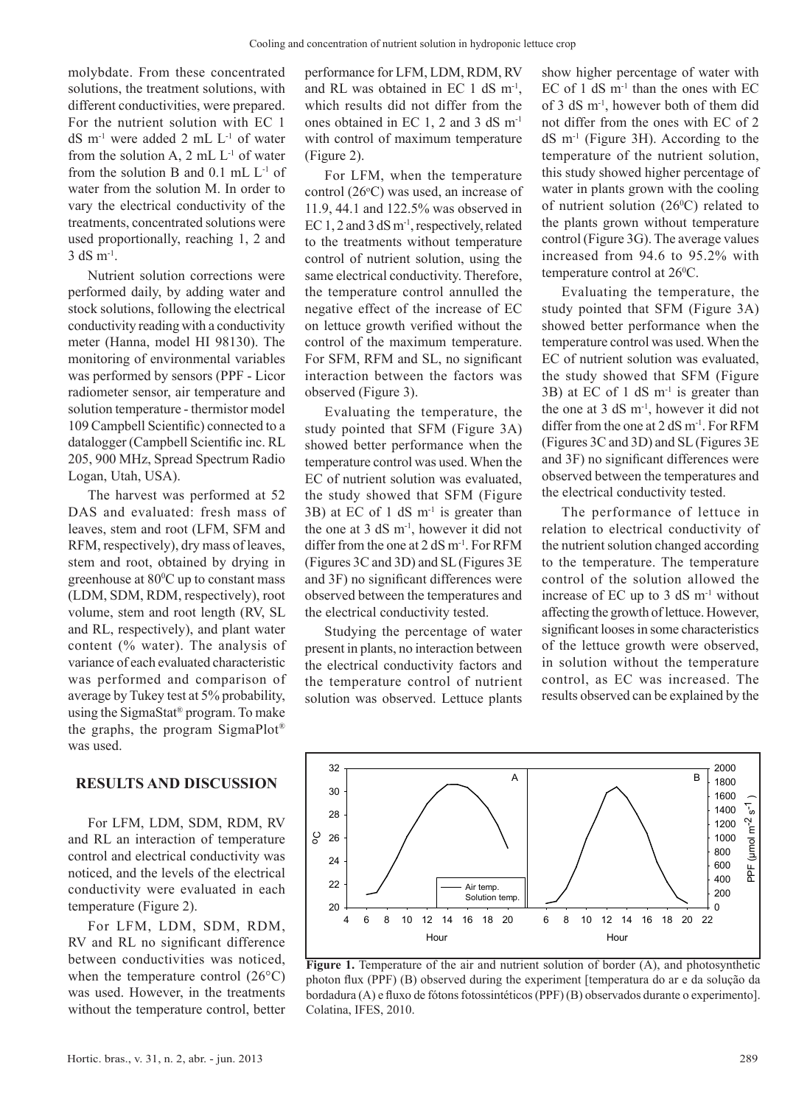molybdate. From these concentrated solutions, the treatment solutions, with different conductivities, were prepared. For the nutrient solution with EC 1 dS m<sup>-1</sup> were added 2 mL L<sup>-1</sup> of water from the solution A,  $2 \text{ mL } L^{-1}$  of water from the solution B and  $0.1$  mL  $L^{-1}$  of water from the solution M. In order to vary the electrical conductivity of the treatments, concentrated solutions were used proportionally, reaching 1, 2 and  $3$  dS  $m^{-1}$ .

Nutrient solution corrections were performed daily, by adding water and stock solutions, following the electrical conductivity reading with a conductivity meter (Hanna, model HI 98130). The monitoring of environmental variables was performed by sensors (PPF - Licor radiometer sensor, air temperature and solution temperature - thermistor model 109 Campbell Scientific) connected to a datalogger (Campbell Scientific inc. RL 205, 900 MHz, Spread Spectrum Radio Logan, Utah, USA).

The harvest was performed at 52 DAS and evaluated: fresh mass of leaves, stem and root (LFM, SFM and RFM, respectively), dry mass of leaves, stem and root, obtained by drying in greenhouse at  $80^{\circ}$ C up to constant mass (LDM, SDM, RDM, respectively), root volume, stem and root length (RV, SL and RL, respectively), and plant water content (% water). The analysis of variance of each evaluated characteristic was performed and comparison of average by Tukey test at 5% probability, using the SigmaStat® program. To make the graphs, the program SigmaPlot® was used.

#### **RESULTS AND DISCUSSION**

For LFM, LDM, SDM, RDM, RV and RL an interaction of temperature control and electrical conductivity was noticed, and the levels of the electrical conductivity were evaluated in each temperature (Figure 2).

For LFM, LDM, SDM, RDM, RV and RL no significant difference between conductivities was noticed, when the temperature control  $(26^{\circ}C)$ was used. However, in the treatments without the temperature control, better performance for LFM, LDM, RDM, RV and RL was obtained in EC 1 dS m-1, which results did not differ from the ones obtained in EC 1, 2 and 3 dS m-1 with control of maximum temperature (Figure 2).

For LFM, when the temperature control  $(26^{\circ}C)$  was used, an increase of 11.9, 44.1 and 122.5% was observed in EC 1, 2 and 3 dS m<sup>-1</sup>, respectively, related to the treatments without temperature control of nutrient solution, using the same electrical conductivity. Therefore, the temperature control annulled the negative effect of the increase of EC on lettuce growth verified without the control of the maximum temperature. For SFM, RFM and SL, no significant interaction between the factors was observed (Figure 3).

Evaluating the temperature, the study pointed that SFM (Figure 3A) showed better performance when the temperature control was used. When the EC of nutrient solution was evaluated, the study showed that SFM (Figure  $3B$ ) at EC of 1 dS m<sup>-1</sup> is greater than the one at  $3 \text{ dS} \text{ m}^{-1}$ , however it did not differ from the one at  $2 dS m^{-1}$ . For RFM (Figures 3C and 3D) and SL (Figures 3E and 3F) no significant differences were observed between the temperatures and the electrical conductivity tested.

Studying the percentage of water present in plants, no interaction between the electrical conductivity factors and the temperature control of nutrient solution was observed. Lettuce plants show higher percentage of water with EC of 1 dS  $m<sup>-1</sup>$  than the ones with EC of 3 dS m-1, however both of them did not differ from the ones with EC of 2  $dS$  m<sup>-1</sup> (Figure 3H). According to the temperature of the nutrient solution, this study showed higher percentage of water in plants grown with the cooling of nutrient solution  $(26^{\circ}C)$  related to the plants grown without temperature control (Figure 3G). The average values increased from 94.6 to 95.2% with temperature control at 26<sup>o</sup>C.

Evaluating the temperature, the study pointed that SFM (Figure 3A) showed better performance when the temperature control was used. When the EC of nutrient solution was evaluated, the study showed that SFM (Figure  $3B$ ) at EC of 1 dS m<sup>-1</sup> is greater than the one at  $3 \text{ dS} \text{ m}^{-1}$ , however it did not differ from the one at  $2 dS m^{-1}$ . For RFM (Figures 3C and 3D) and SL (Figures 3E and 3F) no significant differences were observed between the temperatures and the electrical conductivity tested.

The performance of lettuce in relation to electrical conductivity of the nutrient solution changed according to the temperature. The temperature control of the solution allowed the increase of EC up to 3 dS m-1 without affecting the growth of lettuce. However, significant looses in some characteristics of the lettuce growth were observed, in solution without the temperature control, as EC was increased. The results observed can be explained by the



Figure 1. Temperature of the air and nutrient solution of border (A), and photosynthetic photon flux (PPF) (B) observed during the experiment [temperatura do ar e da solução da bordadura (A) e fluxo de fótons fotossintéticos (PPF) (B) observados durante o experimento]. Colatina, IFES, 2010.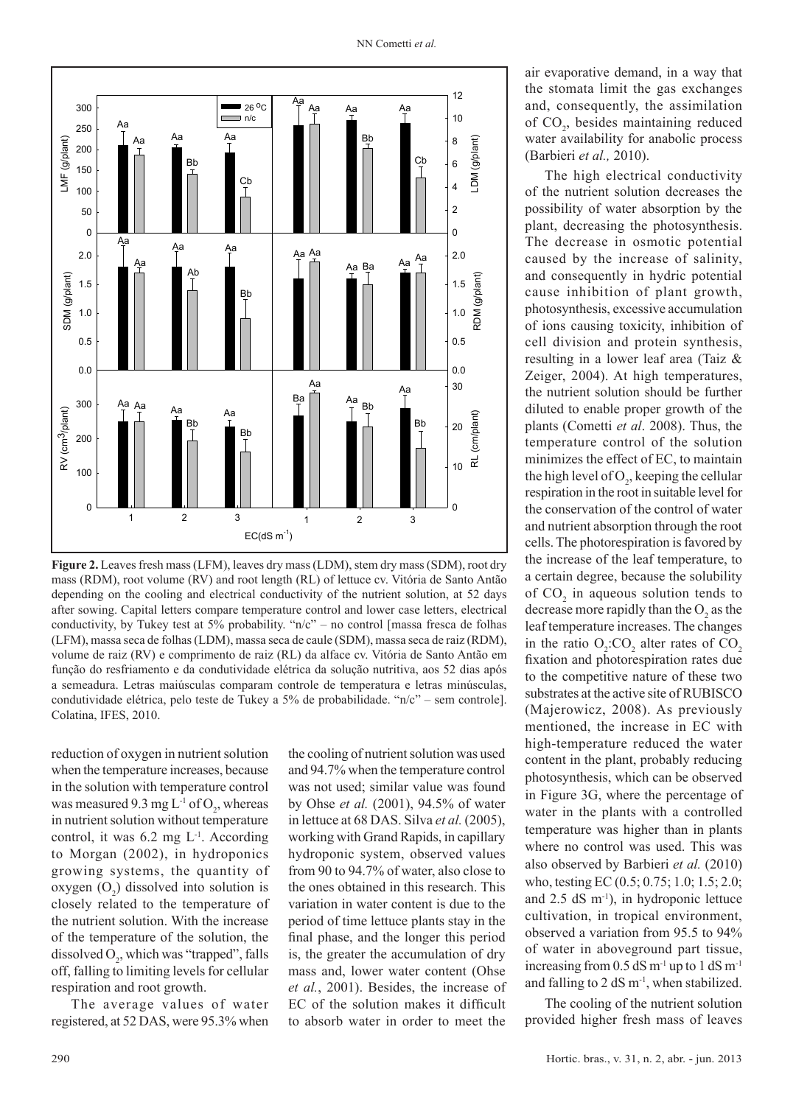

**Figure 2.** Leaves fresh mass (LFM), leaves dry mass (LDM), stem dry mass (SDM), root dry mass (RDM), root volume (RV) and root length (RL) of lettuce cv. Vitória de Santo Antão depending on the cooling and electrical conductivity of the nutrient solution, at 52 days after sowing. Capital letters compare temperature control and lower case letters, electrical conductivity, by Tukey test at 5% probability. "n/c" – no control [massa fresca de folhas (LFM), massa seca de folhas (LDM), massa seca de caule (SDM), massa seca de raiz (RDM), volume de raiz (RV) e comprimento de raiz (RL) da alface cv. Vitória de Santo Antão em função do resfriamento e da condutividade elétrica da solução nutritiva, aos 52 dias após a semeadura. Letras maiúsculas comparam controle de temperatura e letras minúsculas, condutividade elétrica, pelo teste de Tukey a 5% de probabilidade. "n/c" – sem controle]. Colatina, IFES, 2010.

reduction of oxygen in nutrient solution when the temperature increases, because in the solution with temperature control was measured 9.3 mg  $L^{-1}$  of  $O_2$ , whereas in nutrient solution without temperature control, it was  $6.2$  mg  $L^{-1}$ . According to Morgan (2002), in hydroponics growing systems, the quantity of oxygen  $(O_2)$  dissolved into solution is closely related to the temperature of the nutrient solution. With the increase of the temperature of the solution, the dissolved  $O_2$ , which was "trapped", falls off, falling to limiting levels for cellular respiration and root growth.

The average values of water registered, at 52 DAS, were 95.3% when the cooling of nutrient solution was used and 94.7% when the temperature control was not used; similar value was found by Ohse *et al.* (2001), 94.5% of water in lettuce at 68 DAS. Silva *et al.* (2005), working with Grand Rapids, in capillary hydroponic system, observed values from 90 to 94.7% of water, also close to the ones obtained in this research. This variation in water content is due to the period of time lettuce plants stay in the final phase, and the longer this period is, the greater the accumulation of dry mass and, lower water content (Ohse *et al.*, 2001). Besides, the increase of EC of the solution makes it difficult to absorb water in order to meet the air evaporative demand, in a way that the stomata limit the gas exchanges and, consequently, the assimilation of CO<sub>2</sub>, besides maintaining reduced water availability for anabolic process (Barbieri *et al.,* 2010).

The high electrical conductivity of the nutrient solution decreases the possibility of water absorption by the plant, decreasing the photosynthesis. The decrease in osmotic potential caused by the increase of salinity, and consequently in hydric potential cause inhibition of plant growth, photosynthesis, excessive accumulation of ions causing toxicity, inhibition of cell division and protein synthesis, resulting in a lower leaf area (Taiz & Zeiger, 2004). At high temperatures, the nutrient solution should be further diluted to enable proper growth of the plants (Cometti *et al*. 2008). Thus, the temperature control of the solution minimizes the effect of EC, to maintain the high level of  $O_2$ , keeping the cellular respiration in the root in suitable level for the conservation of the control of water and nutrient absorption through the root cells. The photorespiration is favored by the increase of the leaf temperature, to a certain degree, because the solubility of  $CO<sub>2</sub>$  in aqueous solution tends to decrease more rapidly than the  $O_2$  as the leaf temperature increases. The changes in the ratio  $O_2$ : $CO_2$  alter rates of  $CO_2$ fixation and photorespiration rates due to the competitive nature of these two substrates at the active site of RUBISCO (Majerowicz, 2008). As previously mentioned, the increase in EC with high-temperature reduced the water content in the plant, probably reducing photosynthesis, which can be observed in Figure 3G, where the percentage of water in the plants with a controlled temperature was higher than in plants where no control was used. This was also observed by Barbieri *et al.* (2010) who, testing EC (0.5; 0.75; 1.0; 1.5; 2.0; and  $2.5$  dS m<sup>-1</sup>), in hydroponic lettuce cultivation, in tropical environment, observed a variation from 95.5 to 94% of water in aboveground part tissue, increasing from  $0.5$  dS m<sup>-1</sup> up to  $1$  dS m<sup>-1</sup> and falling to 2  $dS$  m<sup>-1</sup>, when stabilized.

The cooling of the nutrient solution provided higher fresh mass of leaves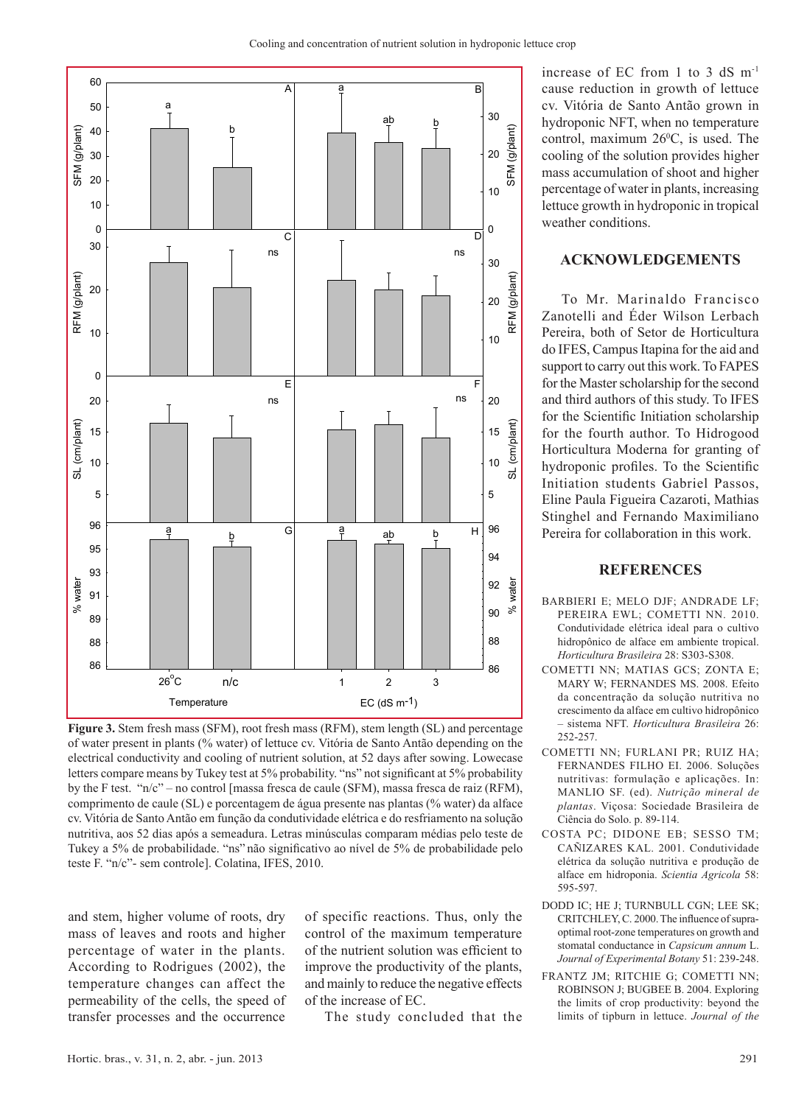

**Figure 3.** Stem fresh mass (SFM), root fresh mass (RFM), stem length (SL) and percentage of water present in plants (% water) of lettuce cv. Vitória de Santo Antão depending on the electrical conductivity and cooling of nutrient solution, at 52 days after sowing. Lowecase letters compare means by Tukey test at 5% probability. "ns" not significant at 5% probability by the F test. "n/c" – no control [massa fresca de caule (SFM), massa fresca de raiz (RFM), comprimento de caule (SL) e porcentagem de água presente nas plantas (% water) da alface cv. Vitória de Santo Antão em função da condutividade elétrica e do resfriamento na solução nutritiva, aos 52 dias após a semeadura. Letras minúsculas comparam médias pelo teste de Tukey a 5% de probabilidade. "ns" não significativo ao nível de 5% de probabilidade pelo teste F. "n/c"- sem controle]. Colatina, IFES, 2010.

and stem, higher volume of roots, dry mass of leaves and roots and higher percentage of water in the plants. According to Rodrigues (2002), the temperature changes can affect the permeability of the cells, the speed of transfer processes and the occurrence

of specific reactions. Thus, only the control of the maximum temperature of the nutrient solution was efficient to improve the productivity of the plants, and mainly to reduce the negative effects of the increase of EC.

The study concluded that the

increase of EC from 1 to 3 dS m-1 cause reduction in growth of lettuce cv. Vitória de Santo Antão grown in hydroponic NFT, when no temperature control, maximum  $26^{\circ}$ C, is used. The cooling of the solution provides higher mass accumulation of shoot and higher percentage of water in plants, increasing lettuce growth in hydroponic in tropical weather conditions.

## **ACKNOWLEDGEMENTS**

To Mr. Marinaldo Francisco Zanotelli and Éder Wilson Lerbach Pereira, both of Setor de Horticultura do IFES, Campus Itapina for the aid and support to carry out this work. To FAPES for the Master scholarship for the second and third authors of this study. To IFES for the Scientific Initiation scholarship for the fourth author. To Hidrogood Horticultura Moderna for granting of hydroponic profiles. To the Scientific Initiation students Gabriel Passos, Eline Paula Figueira Cazaroti, Mathias Stinghel and Fernando Maximiliano Pereira for collaboration in this work.

#### **REFERENCES**

- BARBIERI E; MELO DJF; ANDRADE LF; PEREIRA EWL; COMETTI NN. 2010. Condutividade elétrica ideal para o cultivo hidropônico de alface em ambiente tropical. *Horticultura Brasileira* 28: S303-S308.
- COMETTI NN; MATIAS GCS; ZONTA E; MARY W; FERNANDES MS. 2008. Efeito da concentração da solução nutritiva no crescimento da alface em cultivo hidropônico – sistema NFT. *Horticultura Brasileira* 26: 252-257.
- COMETTI NN; FURLANI PR; RUIZ HA; FERNANDES FILHO EI. 2006. Soluções nutritivas: formulação e aplicações. In: MANLIO SF. (ed). *Nutrição mineral de plantas*. Viçosa: Sociedade Brasileira de Ciência do Solo. p. 89-114.
- COSTA PC; DIDONE EB; SESSO TM; CAÑIZARES KAL. 2001. Condutividade elétrica da solução nutritiva e produção de alface em hidroponia. *Scientia Agricola* 58: 595-597.
- DODD IC; HE J; TURNBULL CGN; LEE SK; CRITCHLEY, C. 2000. The influence of supraoptimal root-zone temperatures on growth and stomatal conductance in *Capsicum annum* L. *Journal of Experimental Botany* 51: 239-248.
- FRANTZ JM; RITCHIE G; COMETTI NN; ROBINSON J; BUGBEE B. 2004. Exploring the limits of crop productivity: beyond the limits of tipburn in lettuce. *Journal of the*